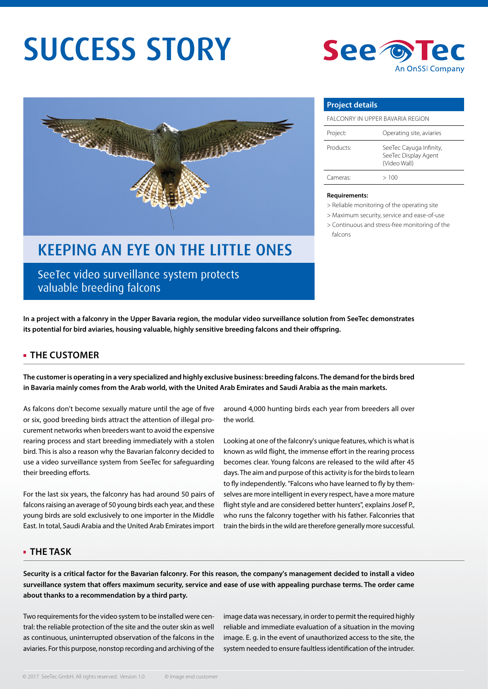# SUCCESS STORY



## KEEPING AN EYE ON THE LITTLE ONES

SeeTec video surveillance system protects valuable breeding falcons



| <b>Project details</b>            |                                                                 |
|-----------------------------------|-----------------------------------------------------------------|
| FAI CONRY IN UPPER BAVARIA REGION |                                                                 |
| Project:                          | Operating site, aviaries                                        |
| Products:                         | SeeTec Cayuga Infinity,<br>SeeTec Display Agent<br>(Video Wall) |
| Cameras:                          | >100                                                            |

#### **Requirements:**

> Reliable monitoring of the operating site

> Maximum security, service and ease-of-use

> Continuous and stress-free monitoring of the falcons

**In a project with a falconry in the Upper Bavaria region, the modular video surveillance solution from SeeTec demonstrates**  its potential for bird aviaries, housing valuable, highly sensitive breeding falcons and their offspring.

#### **THE CUSTOMER**

**The customer is operating in a very specialized and highly exclusive business: breeding falcons. The demand for the birds bred in Bavaria mainly comes from the Arab world, with the United Arab Emirates and Saudi Arabia as the main markets.** 

As falcons don't become sexually mature until the age of five or six, good breeding birds attract the attention of illegal procurement networks when breeders want to avoid the expensive rearing process and start breeding immediately with a stolen bird. This is also a reason why the Bavarian falconry decided to use a video surveillance system from SeeTec for safeguarding their breeding efforts.

For the last six years, the falconry has had around 50 pairs of falcons raising an average of 50 young birds each year, and these young birds are sold exclusively to one importer in the Middle East. In total, Saudi Arabia and the United Arab Emirates import

around 4,000 hunting birds each year from breeders all over the world.

Looking at one of the falconry's unique features, which is what is known as wild flight, the immense effort in the rearing process becomes clear. Young falcons are released to the wild after 45 days. The aim and purpose of this activity is for the birds to learn to fly independently. "Falcons who have learned to fly by themselves are more intelligent in every respect, have a more mature flight style and are considered better hunters", explains Josef P., who runs the falconry together with his father. Falconries that train the birds in the wild are therefore generally more successful.

#### **THE TASK**

**Security is a critical factor for the Bavarian falconry. For this reason, the company's management decided to install a video**  surveillance system that offers maximum security, service and ease of use with appealing purchase terms. The order came **about thanks to a recommendation by a third party.** 

Two requirements for the video system to be installed were central: the reliable protection of the site and the outer skin as well as continuous, uninterrupted observation of the falcons in the aviaries. For this purpose, nonstop recording and archiving of the

image data was necessary, in order to permit the required highly reliable and immediate evaluation of a situation in the moving image. E. g. in the event of unauthorized access to the site, the system needed to ensure faultless identification of the intruder.